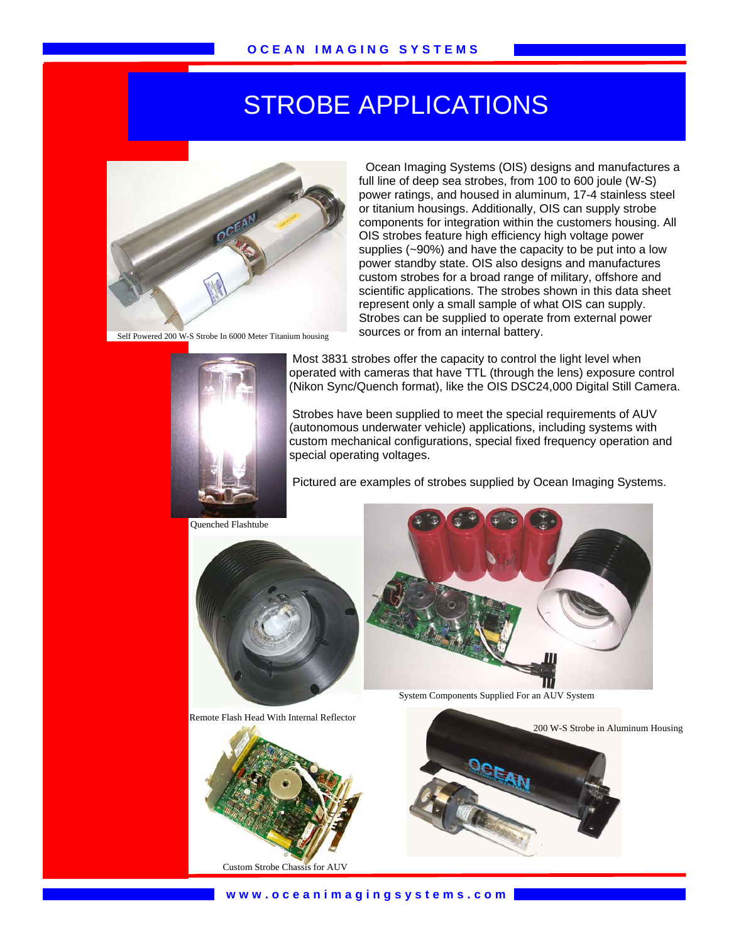## STROBE APPLICATIONS



Self Powered 200 W-S Strobe In 6000 Meter Titanium housing



Ocean Imaging Systems (OIS) designs and manufactures a full line of deep sea strobes, from 100 to 600 joule (W-S) power ratings, and housed in aluminum, 17-4 stainless steel or titanium housings. Additionally, OIS can supply strobe components for integration within the customers housing. All OIS strobes feature high efficiency high voltage power supplies (~90%) and have the capacity to be put into a low power standby state. OIS also designs and manufactures custom strobes for a broad range of military, offshore and scientific applications. The strobes shown in this data sheet represent only a small sample of what OIS can supply. Strobes can be supplied to operate from external power sources or from an internal battery.

 Most 3831 strobes offer the capacity to control the light level when operated with cameras that have TTL (through the lens) exposure control (Nikon Sync/Quench format), like the OIS DSC24,000 Digital Still Camera.

 Strobes have been supplied to meet the special requirements of AUV (autonomous underwater vehicle) applications, including systems with custom mechanical configurations, special fixed frequency operation and special operating voltages.

Pictured are examples of strobes supplied by Ocean Imaging Systems.



Remote Flash Head With Internal Reflector





**www.oceanimagingsystems.com**